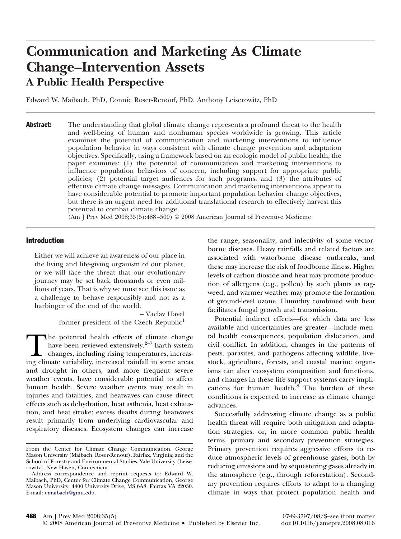# **Communication and Marketing As Climate Change–Intervention Assets A Public Health Perspective**

Edward W. Maibach, PhD, Connie Roser-Renouf, PhD, Anthony Leiserowitz, PhD

**Abstract:** The understanding that global climate change represents a profound threat to the health and well-being of human and nonhuman species worldwide is growing. This article examines the potential of communication and marketing interventions to influence population behavior in ways consistent with climate change prevention and adaptation objectives. Specifically, using a framework based on an ecologic model of public health, the paper examines: (1) the potential of communication and marketing interventions to influence population behaviors of concern, including support for appropriate public policies; (2) potential target audiences for such programs; and (3) the attributes of effective climate change messages. Communication and marketing interventions appear to have considerable potential to promote important population behavior change objectives, but there is an urgent need for additional translational research to effectively harvest this potential to combat climate change.

(Am J Prev Med 2008;35(5):488 –500) © 2008 American Journal of Preventive Medicine

#### Introduction

Either we will achieve an awareness of our place in the living and life-giving organism of our planet, or we will face the threat that our evolutionary journey may be set back thousands or even millions of years. That is why we must see this issue as a challenge to behave responsibly and not as a harbinger of the end of the world.

> – Vaclav Havel former president of the Czech Republic<sup>1</sup>

The potential health effects of [clim](#page-10-0)ate change<br>have been reviewed extensively.<sup>2-7</sup> Earth system<br>changes, including rising temperatures, increas-<br>ing climate variability, increased rainfall in some areas have been reviewed extensively. $2^{-7}$  Earth system changes, including rising temperatures, increasing climate variability, increased rainfall in some areas and drought in others, and more frequent severe weather events, have considerable potential to affect human health. Severe weather events may result in injuries and fatalities, and heatwaves can cause direct effects such as dehydration, heat asthenia, heat exhaustion, and heat stroke; excess deaths during heatwaves result primarily from underlying cardiovascular and respiratory diseases. Ecosystem changes can increase

the range, seasonality, and infectivity of some vectorborne diseases. Heavy rainfalls and related factors are associated with waterborne disease outbreaks, and these may increase the risk of foodborne illness. Higher levels of carbon dioxide and heat may promote production of allergens (e.g., pollen) by such plants as ragweed, and warmer weather may promote the formation of ground-level ozone. Humidity combined with heat facilitates fungal growth and transmission.

Potential indirect effects—for which data are less available and uncertainties are greater—include mental health consequences, population dislocation, and civil conflict. In addition, changes in the patterns of pests, parasites, and pathogens affecting wildlife, livestock, agriculture, forests, and coastal marine organisms can alter ecosystem composition and functions, and changes in these life-support systems carry impli-cations for human health.<sup>[8](#page-10-0)</sup> The burden of these conditions is expected to increase as climate change advances.

Successfully addressing climate change as a public health threat will require both mitigation and adaptation strategies, or, in more common public health terms, primary and secondary prevention strategies. Primary prevention requires aggressive efforts to reduce atmospheric levels of greenhouse gases, both by reducing emissions and by sequestering gases already in the atmosphere (e.g., through reforestation). Secondary prevention requires efforts to adapt to a changing climate in ways that protect population health and

From the Center for Climate Change Communication, George Mason University (Maibach, Roser-Renouf), Fairfax, Virginia; and the School of Forestry and Environmental Studies, Yale University (Leiserowitz), New Haven, Connecticut

Address correspondence and reprint requests to: Edward W. Maibach, PhD, Center for Climate Change Communication, George Mason University, 4400 University Drive, MS 6A8, Fairfax VA 22030. E-mail: [emaibach@gmu.edu.](mailto:emaibach@gmu.edu)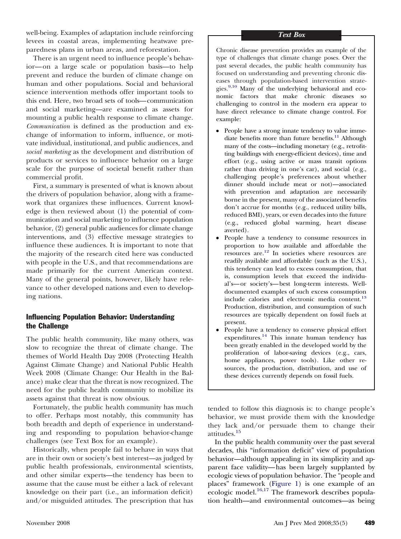well-being. Examples of adaptation include reinforcing levees in coastal areas, implementing heatwave preparedness plans in urban areas, and reforestation.

There is an urgent need to influence people's behavior— on a large scale or population basis—to help prevent and reduce the burden of climate change on human and other populations. Social and behavioral science intervention methods offer important tools to this end. Here, two broad sets of tools—communication and social marketing—are examined as assets for mounting a public health response to climate change. *Communication* is defined as the production and exchange of information to inform, influence, or motivate individual, institutional, and public audiences, and *social marketing* as the development and distribution of products or services to influence behavior on a large scale for the purpose of societal benefit rather than commercial profit.

First, a summary is presented of what is known about the drivers of population behavior, along with a framework that organizes these influences. Current knowledge is then reviewed about (1) the potential of communication and social marketing to influence population behavior, (2) general public audiences for climate change interventions, and (3) effective message strategies to influence these audiences. It is important to note that the majority of the research cited here was conducted with people in the U.S., and that recommendations are made primarily for the current American context. Many of the general points, however, likely have relevance to other developed nations and even to developing nations.

# Influencing Population Behavior: Understanding the Challenge

The public health community, like many others, was slow to recognize the threat of climate change. The themes of World Health Day 2008 (Protecting Health Against Climate Change) and National Public Health Week 2008 (Climate Change: Our Health in the Balance) make clear that the threat is now recognized. The need for the public health community to mobilize its assets against that threat is now obvious.

Fortunately, the public health community has much to offer. Perhaps most notably, this community has both breadth and depth of experience in understanding and responding to population behavior-change challenges (see Text Box for an example).

Historically, when people fail to behave in ways that are in their own or society's best interest—as judged by public health professionals, environmental scientists, and other similar experts—the tendency has been to assume that the cause must be either a lack of relevant knowledge on their part (i.e., an information deficit) and/or misguided attitudes. The prescription that has

Chronic disease prevention provides an example of the type of challenges that climate change poses. Over the past several decades, the public health community has focused on understanding and preventing chronic diseases through population-based intervention strategies.<sup>9,10</sup> Many of the underlying behavioral and economic factors that make chronic diseases so challenging to control in the modern era appear to have direct relevance to climate change control. For example:

- People have a strong innate tendency to value immediate benefits more than future benefits.<sup>11</sup> Although many of the costs—including monetary (e.g., retrofitting buildings with energy-efficient devices), time and effort (e.g., using active or mass transit options rather than driving in one's car), and social (e.g., challenging people's preferences about whether dinner should include meat or not)—associated with prevention and adaptation are necessarily borne in the present, many of the associated benefits don't accrue for months (e.g., reduced utility bills, reduced BMI), years, or even decades into the future (e.g., reduced global warming, heart disease averted).
- People have a tendency to consume resources in proportion to how available and affordable the resources are[.12](#page-11-0) In societies where resources are readily available and affordable (such as the U.S.), this tendency can lead to excess consumption, that is, consumption levels that exceed the individual's— or society's— best long-term interests. Welldocumented examples of such excess consumption include calories and electronic media content.<sup>13</sup> Production, distribution, and consumption of such resources are typically dependent on fossil fuels at present.
- People have a tendency to conserve physical effort expenditures. $14$  This innate human tendency has been greatly enabled in the developed world by the proliferation of labor-saving devices (e.g., cars, home appliances, power tools). Like other resources, the production, distribution, and use of these devices currently depends on fossil fuels.

tended to follow this diagnosis is: to change people's behavior, we must provide them with the knowledge they lack and/or persuade them to change their attitudes[.15](#page-11-0)

In the public health community over the past several decades, this "information deficit" view of population behavior—although appealing in its simplicity and apparent face validity—has been largely supplanted by ecologic views of population behavior. The "people and places" framework [\(Figure 1\)](#page-2-0) is one example of an ecologic model. $^{16,17}$  The framework describes population health—and environmental outcomes—as being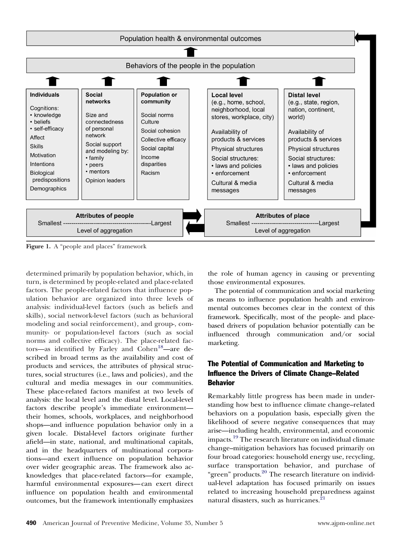<span id="page-2-0"></span>

Figure 1. A "people and places" framework

determined primarily by population behavior, which, in turn, is determined by people-related and place-related factors. The people-related factors that influence population behavior are organized into three levels of analysis: individual-level factors (such as beliefs and skills), social network-level factors (such as behavioral modeling and social reinforcement), and group-, community- or population-level factors (such as social norms and collective efficacy). The place-related factors—as identified by Farley and Cohen<sup>18</sup>—are described in broad terms as the availability and cost of products and services, the attributes of physical structures, social structures (i.e., laws and policies), and the cultural and media messages in our communities. These place-related factors manifest at two levels of analysis: the local level and the distal level. Local-level factors describe people's immediate environment their homes, schools, workplaces, and neighborhood shops—and influence population behavior only in a given locale. Distal-level factors originate further afield—in state, national, and multinational capitals, and in the headquarters of multinational corporations—and exert influence on population behavior over wider geographic areas. The framework also acknowledges that place-related factors—for example, harmful environmental exposures— can exert direct influence on population health and environmental outcomes, but the framework intentionally emphasizes the role of human agency in causing or preventing those environmental exposures.

The potential of communication and social marketing as means to influence population health and environmental outcomes becomes clear in the context of this framework. Specifically, most of the people- and placebased drivers of population behavior potentially can be influenced through communication and/or social marketing.

# The Potential of Communication and Marketing to Influence the Drivers of Climate Change–Related Behavior

Remarkably little progress has been made in understanding how best to influence climate change–related behaviors on a population basis, especially given the likelihood of severe negative consequences that may arise—including health, environmental, and economic impacts[.19](#page-11-0) The research literature on individual climate change–mitigation behaviors has focused primarily on four broad categories: household energy use, recycling, surface transportation behavior, and purchase of "green" products.<sup>20</sup> The research literature on individual-level adaptation has focused primarily on issues related to increasing household preparedness against natural disasters, such as hurricanes.<sup>21</sup>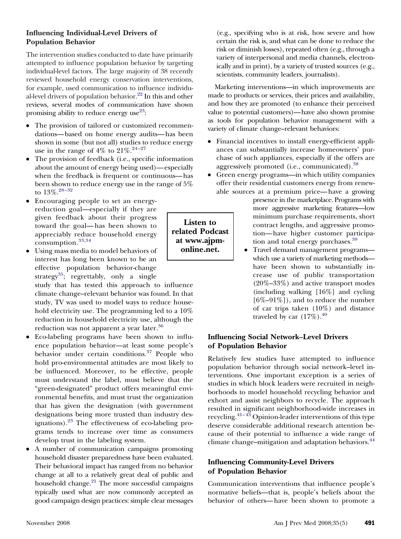# **Influencing Individual-Level Drivers of Population Behavior**

The intervention studies conducted to date have primarily attempted to influence population behavior by targeting individual-level factors. The large majority of 38 recently reviewed household energy conservation interventions, for example, used communication to influence individual-level drivers of population behavior.<sup>22</sup> In this and other reviews, several modes of communication have shown promising ability to reduce energy use $23$ :

- The provision of tailored or customized recommendations— based on home energy audits—has been shown in some (but not all) studies to reduce energy use in the range of 4% to  $21\%^{24-27}$
- The provision of feedback (i.e., specific information about the amount of energy being used)— especially when the feedback is frequent or continuous—has been shown to reduce energy use in the range of 5% to  $13\%$ <sup>28-32</sup>
- Encouraging people to set an energyreduction goal—especially if they are given feedback about their progress toward the goal—has been shown to appreciably reduce household energy consumption.[33,34](#page-11-0)
- Using mass media to model behaviors of interest has long been known to be an effective population behavior-change strategy<sup>35</sup>; regrettably, only a single

study that has tested this approach to influence climate change–relevant behavior was found. In that study, TV was used to model ways to reduce household electricity use. The programming led to a 10% reduction in household electricity use, although the reduction was not apparent a year later.<sup>36</sup>

- Eco-labeling programs have been shown to influence population behavior—at least some people's behavior under certain conditions.<sup>37</sup> People who hold pro-environmental attitudes are most likely to be influenced. Moreover, to be effective, people must understand the label, must believe that the "green-designated" product offers meaningful environmental benefits, and must trust the organization that has given the designation (with government designations being more trusted than industry designations).<sup>23</sup> The effectiveness of eco-labeling programs tends to increase over time as consumers develop trust in the labeling system.
- A number of communication campaigns promoting household disaster preparedness have been evaluated. Their behavioral impact has ranged from no behavior change at all to a relatively great deal of public and household change. $21$  The more successful campaigns typically used what are now commonly accepted as good campaign design practices: simple clear messages

(e.g., specifying who is at risk, how severe and how certain the risk is, and what can be done to reduce the risk or diminish losses), repeated often (e.g., through a variety of interpersonal and media channels, electronically and in print), by a variety of trusted sources (e.g., scientists, community leaders, journalists).

Marketing interventions—in which improvements are made to products or services, their prices and availability, and how they are promoted (to enhance their perceived value to potential customers)—have also shown promise as tools for population behavior management with a variety of climate change–relevant behaviors:

- Financial incentives to install energy-efficient appliances can substantially increase homeowners' purchase of such appliances, especially if the offers are aggressively promoted (i.e., communicated).<sup>38</sup>
- Green energy programs—in which utility companies offer their residential customers energy from renewable sources at a premium price—have a growing

presence in the marketplace. Programs with more aggressive marketing features—low minimum purchase requirements, short contract lengths, and aggressive promotion—have higher customer participation and total energy purchases.<sup>39</sup>

● Travel demand management programs which use a variety of marketing methods have been shown to substantially increase use of public transportation (20%–33%) and active transport modes (including walking [16%] and cycling  $[6\% - 91\%]$ , and to reduce the number of car trips taken (10%) and distance traveled by car  $(17\%)$ .<sup>40</sup>

# **Influencing Social Network–Level Drivers of Population Behavior**

Relatively few studies have attempted to influence population behavior through social network–level interventions. One important exception is a series of studies in which block leaders were recruited in neighborhoods to model household recycling behavior and exhort and assist neighbors to recycle. The approach resulted in significant neighborhood-wide increases in recycling. $41-43$  Opinion-leader interventions of this type deserve considerable additional research attention because of their potential to influence a wide range of climate change–mitigation and adaptation behaviors.<sup>44</sup>

# **Influencing Community-Level Drivers of Population Behavior**

Communication interventions that influence people's normative beliefs—that is, people's beliefs about the behavior of others—have been shown to promote a

**Listen to related Podcast at www.ajpmonline.net.**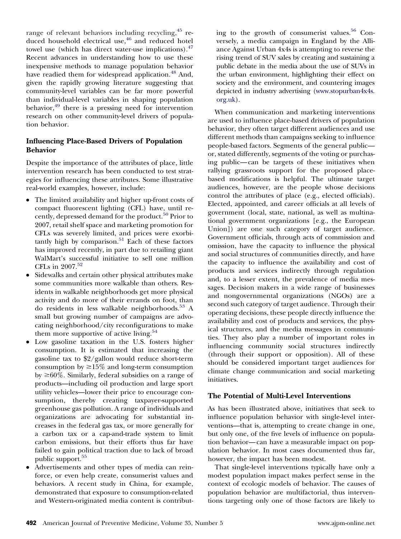range of relevant behaviors including recycling, <sup>45</sup> reduced household electrical use,<sup>46</sup> and reduced hotel towel use (which has direct water-use implications). $47$ Recent advances in understanding how to use these inexpensive methods to manage population behavior have readied them for widespread application.<sup>48</sup> And, given the rapidly growing literature suggesting that community-level variables can be far more powerful than individual-level variables in shaping population behavior, $49$  there is a pressing need for intervention research on other community-level drivers of population behavior.

### **Influencing Place-Based Drivers of Population Behavior**

Despite the importance of the attributes of place, little intervention research has been conducted to test strategies for influencing these attributes. Some illustrative real-world examples, however, include:

- The limited availability and higher up-front costs of compact fluorescent lighting (CFL) have, until recently, depressed demand for the product.<sup>50</sup> Prior to 2007, retail shelf space and marketing promotion for CFLs was severely limited, and prices were exorbitantly high by comparison.<sup>51</sup> Each of these factors has improved recently, in part due to retailing giant WalMart's successful initiative to sell one million CFLs in 2007.<sup>52</sup>
- Sidewalks and certain other physical attributes make some communities more walkable than others. Residents in walkable neighborhoods get more physical activity and do more of their errands on foot, than do residents in less walkable neighborhoods[.53](#page-11-0) A small but growing number of campaigns are advocating neighborhood/city reconfigurations to make them more supportive of active living. $54$
- Low gasoline taxation in the U.S. fosters higher consumption. It is estimated that increasing the gasoline tax to \$2/gallon would reduce short-term consumption by  $\geq 15\%$  and long-term consumption by  $\geq 60\%$ . Similarly, federal subsidies on a range of products—including oil production and large sport utility vehicles—lower their price to encourage consumption, thereby creating taxpayer-supported greenhouse gas pollution. A range of individuals and organizations are advocating for substantial increases in the federal gas tax, or more generally for a carbon tax or a cap-and-trade system to limit carbon emissions, but their efforts thus far have failed to gain political traction due to lack of broad public support.<sup>55</sup>
- Advertisements and other types of media can reinforce, or even help create, consumerist values and behaviors. A recent study in China, for example, demonstrated that exposure to consumption-related and Western-originated media content is contribut-

ing to the growth of consumerist values.<sup>56</sup> Conversely, a media campaign in England by the Alliance Against Urban 4x4s is attempting to reverse the rising trend of SUV sales by creating and sustaining a public debate in the media about the use of SUVs in the urban environment, highlighting their effect on society and the environment, and countering images depicted in industry advertising [\(www.stopurban4x4s.](http://www.stopurban4x4s.org.uk) [org.uk\)](http://www.stopurban4x4s.org.uk).

When communication and marketing interventions are used to influence place-based drivers of population behavior, they often target different audiences and use different methods than campaigns seeking to influence people-based factors. Segments of the general public or, stated differently, segments of the voting or purchasing public— can be targets of these initiatives when rallying grassroots support for the proposed placebased modifications is helpful. The ultimate target audiences, however, are the people whose decisions control the attributes of place (e.g., elected officials). Elected, appointed, and career officials at all levels of government (local, state, national, as well as multinational government organizations [e.g., the European Union]) are one such category of target audience. Government officials, through acts of commission and omission, have the capacity to influence the physical and social structures of communities directly, and have the capacity to influence the availability and cost of products and services indirectly through regulation and, to a lesser extent, the prevalence of media messages. Decision makers in a wide range of businesses and nongovernmental organizations (NGOs) are a second such category of target audience. Through their operating decisions, these people directly influence the availability and cost of products and services, the physical structures, and the media messages in communities. They also play a number of important roles in influencing community social structures indirectly (through their support or opposition). All of these should be considered important target audiences for climate change communication and social marketing initiatives.

#### **The Potential of Multi-Level Interventions**

As has been illustrated above, initiatives that seek to influence population behavior with single-level interventions—that is, attempting to create change in one, but only one, of the five levels of influence on population behavior— can have a measurable impact on population behavior. In most cases documented thus far, however, the impact has been modest.

That single-level interventions typically have only a modest population impact makes perfect sense in the context of ecologic models of behavior. The causes of population behavior are multifactorial, thus interventions targeting only one of those factors are likely to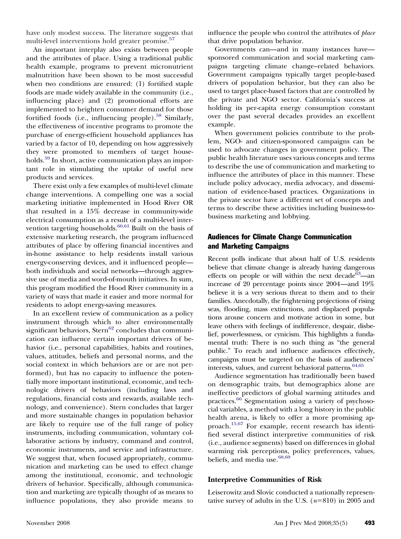have only modest success. The literature suggests that multi-level interventions hold greater promise.<sup>57</sup>

An important interplay also exists between people and the attributes of place. Using a traditional public health example, programs to prevent micronutrient malnutrition have been shown to be most successful when two conditions are ensured: (1) fortified staple foods are made widely available in the community (i.e., influencing place) and (2) promotional efforts are implemented to heighten consumer demand for those fortified foods (i.e., influencing people).<sup>58</sup> Similarly, the effectiveness of incentive programs to promote the purchase of energy-efficient household appliances has varied by a factor of 10, depending on how aggressively they were promoted to members of target households.<sup>59</sup> In short, active communication plays an important role in stimulating the uptake of useful new products and services.

There exist only a few examples of multi-level climate change interventions. A compelling one was a social marketing initiative implemented in Hood River OR that resulted in a 15% decrease in community-wide electrical consumption as a result of a multi-level intervention targeting households.<sup>60,61</sup> Built on the basis of extensive marketing research, the program influenced attributes of place by offering financial incentives and in-home assistance to help residents install various energy-conserving devices, and it influenced people both individuals and social networks—through aggressive use of media and word-of-mouth initiatives. In sum, this program modified the Hood River community in a variety of ways that made it easier and more normal for residents to adopt energy-saving measures.

In an excellent review of communication as a policy instrument through which to alter environmentally significant behaviors, Stern $62$  concludes that communication can influence certain important drivers of behavior (i.e., personal capabilities, habits and routines, values, attitudes, beliefs and personal norms, and the social context in which behaviors are or are not performed), but has no capacity to influence the potentially more important institutional, economic, and technologic drivers of behaviors (including laws and regulations, financial costs and rewards, available technology, and convenience). Stern concludes that larger and more sustainable changes in population behavior are likely to require use of the full range of policy instruments, including communication, voluntary collaborative actions by industry, command and control, economic instruments, and service and infrastructure. We suggest that, when focused appropriately, communication and marketing can be used to effect change among the institutional, economic, and technologic drivers of behavior. Specifically, although communication and marketing are typically thought of as means to influence populations, they also provide means to

influence the people who control the attributes of *place* that drive population behavior.

Governments can—and in many instances have sponsored communication and social marketing campaigns targeting climate change–related behaviors. Government campaigns typically target people-based drivers of population behavior, but they can also be used to target place-based factors that are controlled by the private and NGO sector. California's success at holding its per-capita energy consumption constant over the past several decades provides an excellent example.

When government policies contribute to the problem, NGO- and citizen-sponsored campaigns can be used to advocate changes in government policy. The public health literature uses various concepts and terms to describe the use of communication and marketing to influence the attributes of place in this manner. These include policy advocacy, media advocacy, and dissemination of evidence-based practices. Organizations in the private sector have a different set of concepts and terms to describe these activities including business-tobusiness marketing and lobbying.

#### Audiences for Climate Change Communication and Marketing Campaigns

Recent polls indicate that about half of U.S. residents believe that climate change is already having dangerous effects on people or will within the next decade<sup>63</sup>—an increase of 20 percentage points since 2004—and 19% believe it is a very serious threat to them and to their families. Anecdotally, the frightening projections of rising seas, flooding, mass extinctions, and displaced populations arouse concern and motivate action in some, but leave others with feelings of indifference, despair, disbelief, powerlessness, or cynicism. This highlights a fundamental truth: There is no such thing as "the general public." To reach and influence audiences effectively, campaigns must be targeted on the basis of audiences' interests, values, and current behavioral patterns.<sup>64,65</sup>

Audience segmentation has traditionally been based on demographic traits, but demographics alone are ineffective predictors of global warming attitudes and practices[.66](#page-12-0) Segmentation using a variety of psychosocial variables, a method with a long history in the public health arena, is likely to offer a more promising approach[.15,67](#page-11-0) For example, recent research has identified several distinct interpretive communities of risk (i.e., audience segments) based on differences in global warming risk perceptions, policy preferences, values, beliefs, and media use.<sup>68,69</sup>

#### **Interpretive Communities of Risk**

Leiserowitz and Slovic conducted a nationally representative survey of adults in the U.S.  $(n=810)$  in 2005 and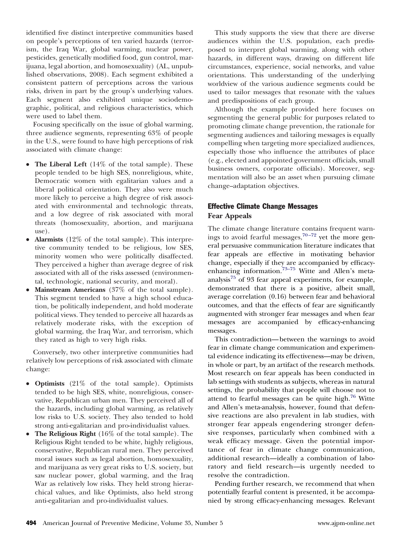identified five distinct interpretive communities based on people's perceptions of ten varied hazards (terrorism, the Iraq War, global warming, nuclear power, pesticides, genetically modified food, gun control, marijuana, legal abortion, and homosexuality) (AL, unpublished observations, 2008). Each segment exhibited a consistent pattern of perceptions across the various risks, driven in part by the group's underlying values. Each segment also exhibited unique sociodemographic, political, and religious characteristics, which were used to label them.

Focusing specifically on the issue of global warming, three audience segments, representing 63% of people in the U.S., were found to have high perceptions of risk associated with climate change:

- **The Liberal Left** (14% of the total sample). These people tended to be high SES, nonreligious, white, Democratic women with egalitarian values and a liberal political orientation. They also were much more likely to perceive a high degree of risk associated with environmental and technologic threats, and a low degree of risk associated with moral threats (homosexuality, abortion, and marijuana use).
- **Alarmists** (12\% of the total sample). This interpretive community tended to be religious, low SES, minority women who were politically disaffected. They perceived a higher than average degree of risk associated with all of the risks assessed (environmental, technologic, national security, and moral).
- **Mainstream Americans** (37% of the total sample)*.* This segment tended to have a high school education, be politically independent, and hold moderate political views. They tended to perceive all hazards as relatively moderate risks, with the exception of global warming, the Iraq War, and terrorism, which they rated as high to very high risks.

Conversely, two other interpretive communities had relatively low perceptions of risk associated with climate change:

- **Optimists** (21% of the total sample). Optimists tended to be high SES, white, nonreligious, conservative, Republican urban men. They perceived all of the hazards, including global warming, as relatively low risks to U.S. society. They also tended to hold strong anti-egalitarian and pro-individualist values.
- **The Religious Right** (16% of the total sample). The Religious Right tended to be white, highly religious, conservative, Republican rural men. They perceived moral issues such as legal abortion, homosexuality, and marijuana as very great risks to U.S. society, but saw nuclear power, global warming, and the Iraq War as relatively low risks. They held strong hierarchical values, and like Optimists, also held strong anti-egalitarian and pro-individualist values.

This study supports the view that there are diverse audiences within the U.S. population, each predisposed to interpret global warming, along with other hazards, in different ways, drawing on different life circumstances, experience, social networks, and value orientations. This understanding of the underlying worldview of the various audience segments could be used to tailor messages that resonate with the values and predispositions of each group.

Although the example provided here focuses on segmenting the general public for purposes related to promoting climate change prevention, the rationale for segmenting audiences and tailoring messages is equally compelling when targeting more specialized audiences, especially those who influence the attributes of place (e.g., elected and appointed government officials, small business owners, corporate officials). Moreover, segmentation will also be an asset when pursuing climate change–adaptation objectives.

# Effective Climate Change Messages **Fear Appeals**

The climate change literature contains frequent warnings to avoid fearful messages,  $70-72$  yet the more general persuasive communication literature indicates that fear appeals are effective in motivating behavior change, especially if they are accompanied by efficacyenhancing information[.73–75](#page-12-0) Witte and Allen's metaanalysis<sup>75</sup> of 93 fear appeal experiments, for example, demonstrated that there is a positive, albeit small, average correlation (0.16) between fear and behavioral outcomes, and that the effects of fear are significantly augmented with stronger fear messages and when fear messages are accompanied by efficacy-enhancing messages.

This contradiction— between the warnings to avoid fear in climate change communication and experimental evidence indicating its effectiveness—may be driven, in whole or part, by an artifact of the research methods. Most research on fear appeals has been conducted in lab settings with students as subjects, whereas in natural settings, the probability that people will choose not to attend to fearful messages can be quite high[.76](#page-12-0) Witte and Allen's meta-analysis, however, found that defensive reactions are also prevalent in lab studies, with stronger fear appeals engendering stronger defensive responses, particularly when combined with a weak efficacy message. Given the potential importance of fear in climate change communication, additional research—ideally a combination of laboratory and field research—is urgently needed to resolve the contradiction.

Pending further research, we recommend that when potentially fearful content is presented, it be accompanied by strong efficacy-enhancing messages. Relevant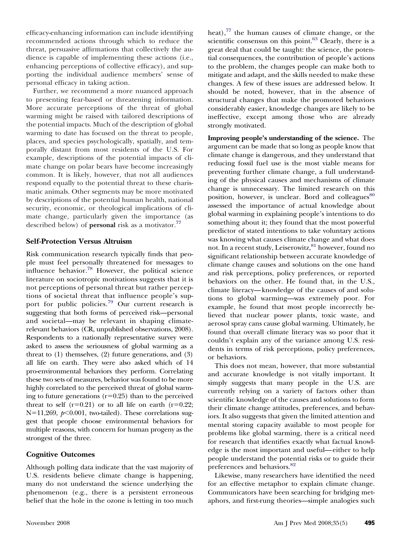efficacy-enhancing information can include identifying recommended actions through which to reduce the threat, persuasive affirmations that collectively the audience is capable of implementing these actions (i.e., enhancing perceptions of collective efficacy), and supporting the individual audience members' sense of personal efficacy in taking action.

Further, we recommend a more nuanced approach to presenting fear-based or threatening information. More accurate perceptions of the threat of global warming might be raised with tailored descriptions of the potential impacts. Much of the description of global warming to date has focused on the threat to people, places, and species psychologically, spatially, and temporally distant from most residents of the U.S. For example, descriptions of the potential impacts of climate change on polar bears have become increasingly common. It is likely, however, that not all audiences respond equally to the potential threat to these charismatic animals. Other segments may be more motivated by descriptions of the potential human health, national security, economic, or theological implications of climate change, particularly given the importance (as described below) of **personal** risk as a motivator.<sup>77</sup>

#### **Self-Protection Versus Altruism**

Risk communication research typically finds that people must feel personally threatened for messages to influence behavior.<sup>78</sup> However, the political science literature on sociotropic motivations suggests that it is not perceptions of personal threat but rather perceptions of societal threat that influence people's sup-port for public policies.<sup>[79](#page-12-0)</sup> Our current research is suggesting that both forms of perceived risk—personal and societal—may be relevant in shaping climaterelevant behaviors (CR, unpublished observations, 2008). Respondents to a nationally representative survey were asked to assess the seriousness of global warming as a threat to (1) themselves, (2) future generations, and (3) all life on earth. They were also asked which of 14 pro-environmental behaviors they perform. Correlating these two sets of measures, behavior was found to be more highly correlated to the perceived threat of global warming to future generations  $(r=0.25)$  than to the perceived threat to self ( $r=0.21$ ) or to all life on earth ( $r=0.22$ ; N=11,269, *p*<0.001, two-tailed). These correlations suggest that people choose environmental behaviors for multiple reasons, with concern for human progeny as the strongest of the three.

#### **Cognitive Outcomes**

Although polling data indicate that the vast majority of U.S. residents believe climate change is happening, many do not understand the science underlying the phenomenon (e.g., there is a persistent erroneous belief that the hole in the ozone is letting in too much

heat), $^{77}$  the human causes of climate change, or the scientific consensus on this point. $63$  Clearly, there is a great deal that could be taught: the science, the potential consequences, the contribution of people's actions to the problem, the changes people can make both to mitigate and adapt, and the skills needed to make these changes. A few of these issues are addressed below. It should be noted, however, that in the absence of structural changes that make the promoted behaviors considerably easier, knowledge changes are likely to be ineffective, except among those who are already strongly motivated.

**Improving people's understanding of the science.** The argument can be made that so long as people know that climate change is dangerous, and they understand that reducing fossil fuel use is the most viable means for preventing further climate change, a full understanding of the physical causes and mechanisms of climate change is unnecessary. The limited research on this position, however, is unclear. Bord and colleagues<sup>80</sup> assessed the importance of actual knowledge about global warming in explaining people's intentions to do something about it; they found that the most powerful predictor of stated intentions to take voluntary actions was knowing what causes climate change and what does not. In a recent study, Leiserowitz, 81 however, found no significant relationship between accurate knowledge of climate change causes and solutions on the one hand and risk perceptions, policy preferences, or reported behaviors on the other. He found that, in the U.S., climate literacy— knowledge of the causes of and solutions to global warming—was extremely poor. For example, he found that most people incorrectly believed that nuclear power plants, toxic waste, and aerosol spray cans cause global warming. Ultimately, he found that overall climate literacy was so poor that it couldn't explain any of the variance among U.S. residents in terms of risk perceptions, policy preferences, or behaviors.

This does not mean, however, that more substantial and accurate knowledge is not vitally important. It simply suggests that many people in the U.S. are currently relying on a variety of factors other than scientific knowledge of the causes and solutions to form their climate change attitudes, preferences, and behaviors. It also suggests that given the limited attention and mental storing capacity available to most people for problems like global warming, there is a critical need for research that identifies exactly what factual knowledge is the most important and useful— either to help people understand the potential risks or to guide their preferences and behaviors.<sup>82</sup>

Likewise, many researchers have identified the need for an effective metaphor to explain climate change. Communicators have been searching for bridging metaphors, and first-rung theories—simple analogies such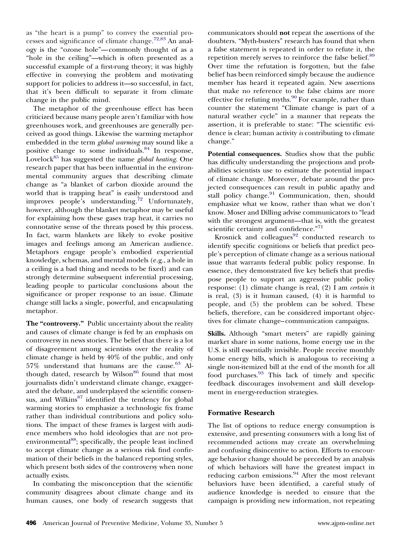as "the heart is a pump" to convey the essential processes and significance of climate change[.72,83](#page-12-0) An analogy is the "ozone hole"— commonly thought of as a "hole in the ceiling"—which is often presented as a successful example of a first-rung theory; it was highly effective in conveying the problem and motivating support for policies to address it—so successful, in fact, that it's been difficult to separate it from climate change in the public mind.

The metaphor of the greenhouse effect has been criticized because many people aren't familiar with how greenhouses work, and greenhouses are generally perceived as good things. Likewise the warming metaphor embedded in the term *global warming* may sound like a positive change to some individuals.<sup>84</sup> In response, Loveloc[k85](#page-12-0) has suggested the name *global heating*. One research paper that has been influential in the environmental community argues that describing climate change as "a blanket of carbon dioxide around the world that is trapping heat" is easily understood and improves people's understanding.<sup>72</sup> Unfortunately, however, although the blanket metaphor may be useful for explaining how these gases trap heat, it carries no connotative sense of the threats posed by this process. In fact, warm blankets are likely to evoke positive images and feelings among an American audience. Metaphors engage people's embodied experiential knowledge, schemas, and mental models (e.g., a hole in a ceiling is a bad thing and needs to be fixed) and can strongly determine subsequent inferential processing, leading people to particular conclusions about the significance or proper response to an issue. Climate change still lacks a single, powerful, and encapsulating metaphor.

**The "controversy."** Public uncertainty about the reality and causes of climate change is fed by an emphasis on controversy in news stories. The belief that there is a lot of disagreement among scientists over the reality of climate change is held by 40% of the public, and only  $57\%$  understand that humans are the cause.<sup>63</sup> Although dated, research by Wilson<sup>86</sup> found that most journalists didn't understand climate change, exaggerated the debate, and underplayed the scientific consensus, and Wilkins $87$  identified the tendency for global warming stories to emphasize a technologic fix frame rather than individual contributions and policy solutions. The impact of these frames is largest with audience members who hold ideologies that are not proenvironmental<sup>88</sup>; specifically, the people least inclined to accept climate change as a serious risk find confirmation of their beliefs in the balanced reporting styles, which present both sides of the controversy when none actually exists.

In combating the misconception that the scientific community disagrees about climate change and its human causes, one body of research suggests that

communicators should **not** repeat the assertions of the doubters. "Myth-busters" research has found that when a false statement is repeated in order to refute it, the repetition merely serves to reinforce the false belief.<sup>89</sup> Over time the refutation is forgotten, but the false belief has been reinforced simply because the audience member has heard it repeated again. New assertions that make no reference to the false claims are more effective for refuting myths. $90$  For example, rather than counter the statement "Climate change is part of a natural weather cycle" in a manner that repeats the assertion, it is preferable to state: "The scientific evidence is clear; human activity *is* contributing to climate change."

**Potential consequences.** Studies show that the public has difficulty understanding the projections and probabilities scientists use to estimate the potential impact of climate change. Moreover, debate around the projected consequences can result in public apathy and stall policy change. $91$  Communication, then, should emphasize what we know, rather than what we don't know. Moser and Dilling advise communicators to "lead with the strongest argument—that is, with the greatest scientific certainty and confidence."<sup>71</sup>

Krosnick and  $\overline{c}$  colleagues<sup>92</sup> conducted research to identify specific cognitions or beliefs that predict people's perception of climate change as a serious national issue that warrants federal public policy response. In essence, they demonstrated five key beliefs that predispose people to support an aggressive public policy response: (1) climate change is real, (2) I am *certain* it is real, (3) is it human caused, (4) it is harmful to people, and (5) the problem can be solved. These beliefs, therefore, can be considered important objectives for climate change– communication campaigns.

**Skills.** Although "smart meters" are rapidly gaining market share in some nations, home energy use in the U.S. is still essentially invisible. People receive monthly home energy bills, which is analogous to receiving a single non-itemized bill at the end of the month for all food purchases[.93](#page-12-0) This lack of timely and specific feedback discourages involvement and skill development in energy-reduction strategies.

#### **Formative Research**

The list of options to reduce energy consumption is extensive, and presenting consumers with a long list of recommended actions may create an overwhelming and confusing disincentive to action. Efforts to encourage behavior change should be preceded by an analysis of which behaviors will have the greatest impact in reducing carbon emissions[.94](#page-12-0) After the most relevant behaviors have been identified, a careful study of audience knowledge is needed to ensure that the campaign is providing new information, not repeating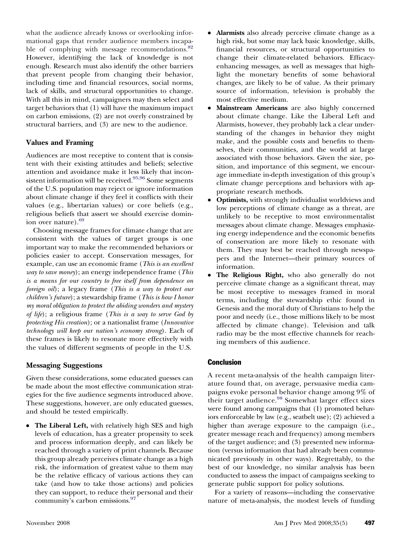what the audience already knows or overlooking informational gaps that render audience members incapable of complying with message recommendations.<sup>82</sup> However, identifying the lack of knowledge is not enough. Research must also identify the other barriers that prevent people from changing their behavior, including time and financial resources, social norms, lack of skills, and structural opportunities to change. With all this in mind, campaigners may then select and target behaviors that (1) will have the maximum impact on carbon emissions, (2) are not overly constrained by structural barriers, and (3) are new to the audience.

# **Values and Framing**

Audiences are most receptive to content that is consistent with their existing attitudes and beliefs; selective attention and avoidance make it less likely that inconsistent information will be received.<sup>95,96</sup> Some segments of the U.S. population may reject or ignore information about climate change if they feel it conflicts with their values (e.g., libertarian values) or core beliefs (e.g., religious beliefs that assert we should exercise dominion over nature). $69$ 

Choosing message frames for climate change that are consistent with the values of target groups is one important way to make the recommended behaviors or policies easier to accept. Conservation messages, for example, can use an economic frame (*This is an excellent way to save money*); an energy independence frame (*This is a means for our country to free itself from dependence on foreign oil*); a legacy frame (*This is a way to protect our children's future*); a stewardship frame (*This is how I honor my moral obligation to protect the abiding wonders and mystery of life*); a religious frame (*This is a way to serve God by protecting His creation*); or a nationalist frame (*Innovative technology will keep our nation's economy strong*). Each of these frames is likely to resonate more effectively with the values of different segments of people in the U.S.

# **Messaging Suggestions**

Given these considerations, some educated guesses can be made about the most effective communication strategies for the five audience segments introduced above. These suggestions, however, are only educated guesses, and should be tested empirically.

● **The Liberal Left,** with relatively high SES and high levels of education, has a greater propensity to seek and process information deeply, and can likely be reached through a variety of print channels. Because this group already perceives climate change as a high risk, the information of greatest value to them may be the relative efficacy of various actions they can take (and how to take those actions) and policies they can support, to reduce their personal and their community's carbon emissions.<sup>97</sup>

- **Alarmists** also already perceive climate change as a high risk, but some may lack basic knowledge, skills, financial resources, or structural opportunities to change their climate-related behaviors. Efficacyenhancing messages, as well as messages that highlight the monetary benefits of some behavioral changes, are likely to be of value. As their primary source of information, television is probably the most effective medium.
- **Mainstream Americans** are also highly concerned about climate change. Like the Liberal Left and Alarmists, however, they probably lack a clear understanding of the changes in behavior they might make, and the possible costs and benefits to themselves, their communities, and the world at large associated with those behaviors. Given the size, position, and importance of this segment, we encourage immediate in-depth investigation of this group's climate change perceptions and behaviors with appropriate research methods.
- **Optimists,** with strongly individualist worldviews and low perceptions of climate change as a threat, are unlikely to be receptive to most environmentalist messages about climate change. Messages emphasizing energy independence and the economic benefits of conservation are more likely to resonate with them. They may best be reached through newspapers and the Internet—their primary sources of information.
- **The Religious Right,** who also generally do not perceive climate change as a significant threat, may be most receptive to messages framed in moral terms, including the stewardship ethic found in Genesis and the moral duty of Christians to help the poor and needy (i.e., those millions likely to be most affected by climate change). Television and talk radio may be the most effective channels for reaching members of this audience.

# **Conclusion**

A recent meta-analysis of the health campaign literature found that, on average, persuasive media campaigns evoke personal behavior change among 9% of their target audience.<sup>[98](#page-12-0)</sup> Somewhat larger effect sizes were found among campaigns that (1) promoted behaviors enforceable by law (e.g., seatbelt use); (2) achieved a higher than average exposure to the campaign (i.e., greater message reach and frequency) among members of the target audience; and (3) presented new information (versus information that had already been communicated previously in other ways). Regrettably, to the best of our knowledge, no similar analysis has been conducted to assess the impact of campaigns seeking to generate public support for policy solutions.

For a variety of reasons—including the conservative nature of meta-analysis, the modest levels of funding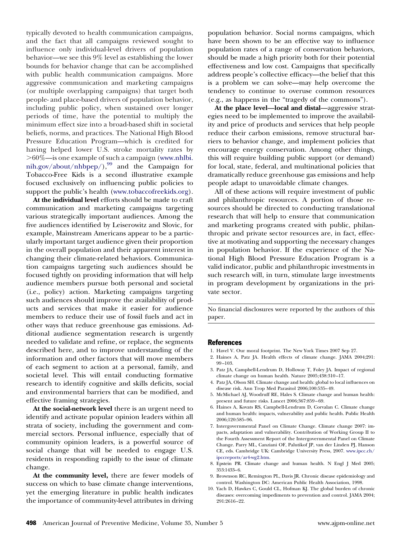<span id="page-10-0"></span>typically devoted to health communication campaigns, and the fact that all campaigns reviewed sought to influence only individual-level drivers of population behavior—we see this 9% level as establishing the lower bounds for behavior change that can be accomplished with public health communication campaigns. More aggressive communication and marketing campaigns (or multiple overlapping campaigns) that target both people- and place-based drivers of population behavior, including public policy, when sustained over longer periods of time, have the potential to multiply the minimum effect size into a broad-based shift in societal beliefs, norms, and practices. The National High Blood Pressure Education Program—which is credited for having helped lower U.S. stroke mortality rates by 60%—is one example of such a campaign [\(www.nhlbi.](http://www.nhlbi.nih.gov/about/nhbpep/) nih.gov/about/nhbpep/ $)$ ,<sup>[99](#page-12-0)</sup> and the Campaign for Tobacco-Free Kids is a second illustrative example focused exclusively on influencing public policies to support the public's health [\(www.tobaccofreekids.org\)](http://www.tobaccofreekids.org).

**At the individual level** efforts should be made to craft communication and marketing campaigns targeting various strategically important audiences. Among the five audiences identified by Leiserowitz and Slovic, for example, Mainstream Americans appear to be a particularly important target audience given their proportion in the overall population and their apparent interest in changing their climate-related behaviors. Communication campaigns targeting such audiences should be focused tightly on providing information that will help audience members pursue both personal and societal (i.e., policy) action. Marketing campaigns targeting such audiences should improve the availability of products and services that make it easier for audience members to reduce their use of fossil fuels and act in other ways that reduce greenhouse gas emissions. Additional audience segmentation research is urgently needed to validate and refine, or replace, the segments described here, and to improve understanding of the information and other factors that will move members of each segment to action at a personal, family, and societal level. This will entail conducting formative research to identify cognitive and skills deficits, social and environmental barriers that can be modified, and effective framing strategies.

**At the social-network level** there is an urgent need to identify and activate popular opinion leaders within all strata of society, including the government and commercial sectors. Personal influence, especially that of community opinion leaders, is a powerful source of social change that will be needed to engage U.S. residents in responding rapidly to the issue of climate change.

**At the community level,** there are fewer models of success on which to base climate change interventions, yet the emerging literature in public health indicates the importance of community-level attributes in driving

population behavior. Social norms campaigns, which have been shown to be an effective way to influence population rates of a range of conservation behaviors, should be made a high priority both for their potential effectiveness and low cost. Campaigns that specifically address people's collective efficacy—the belief that this is a problem we can solve—may help overcome the tendency to continue to overuse common resources (e.g., as happens in the "tragedy of the commons").

**At the place level—local and distal**—aggressive strategies need to be implemented to improve the availability and price of products and services that help people reduce their carbon emissions, remove structural barriers to behavior change, and implement policies that encourage energy conservation. Among other things, this will require building public support (or demand) for local, state, federal, and multinational policies that dramatically reduce greenhouse gas emissions and help people adapt to unavoidable climate changes.

All of these actions will require investment of public and philanthropic resources. A portion of those resources should be directed to conducting translational research that will help to ensure that communication and marketing programs created with public, philanthropic and private sector resources are, in fact, effective at motivating and supporting the necessary changes in population behavior. If the experience of the National High Blood Pressure Education Program is a valid indicator, public and philanthropic investments in such research will, in turn, stimulate large investments in program development by organizations in the private sector.

No financial disclosures were reported by the authors of this paper.

#### References

- 1. Havel V. Our moral footprint. The New York Times 2007 Sep 27.
- 2. Haines A, Patz JA. Health effects of climate change. JAMA 2004;291: 99 –103.
- 3. Patz JA, Campbell-Lendrum D, Holloway T, Foley JA. Impact of regional climate change on human health. Nature 2005;438:310 –17.
- 4. Patz JA, Olson SH. Climate change and health: global to local influences on disease risk. Ann Trop Med Parasitol 2006;100:535– 49.
- 5. McMichael AJ, Woodruff RE, Hales S. Climate change and human health: present and future risks. Lancet 2006;367:859 – 69.
- 6. Haines A, Kovats RS, Campbell-Lendrum D, Corvalan C. Climate change and human health: impacts, vulnerability and public health. Public Health 2006;120:585–96.
- 7. Intergovernmental Panel on Climate Change. Climate change 2007: impacts, adaptation and vulnerability. Contribution of Working Group II to the Fourth Assessment Report of the Intergovernmental Panel on Climate Change. Parry ML, Canziani OF, Palutikof JP, van der Linden PJ, Hanson CE, eds. Cambridge UK: Cambridge University Press, 2007. [www.ipcc.ch/](http://www.ipcc.ch/ipccreports/ar4-wg2.htm) [ipccreports/ar4-wg2.htm.](http://www.ipcc.ch/ipccreports/ar4-wg2.htm)
- 8. Epstein PR. Climate change and human health. N Engl J Med 2005; 353:1433–6.
- 9. Brownson RC, Remington PL, Davis JR. Chronic disease epidemiology and control. Washington DC: American Public Health Association, 1998.
- 10. Yach D, Hawkes C, Gould CL, Hofman KJ. The global burden of chronic diseases: overcoming impediments to prevention and control. JAMA 2004; 291:2616 –22.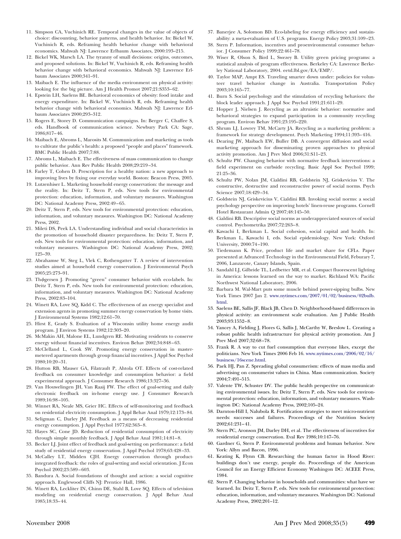- <span id="page-11-0"></span>11. Simpson CA, Vuchinich RE. Temporal changes in the value of objects of choice: discounting, behavior patterns, and health behavior. In: Bickel W, Vuchinich R, eds. Reframing health behavior change with behavioral economics. Mahwah NJ: Lawrence Erlbaum Associates, 2000:193–215.
- 12. Bickel WK, Marsch LA. The tyranny of small decisions: origins, outcomes, and proposed solutions. In: Bickel W, Vuchinich R, eds. Reframing health behavior change with behavioral economics. Mahwah NJ: Lawrence Erlbaum Associates 2000;341–91.
- 13. Maibach E. The influence of the media environment on physical activity: looking for the big picture. Am J Health Promot 2007;21:S353– 62.
- 14. Epstein LH, Saelens BE. Behavioral economics of obesity: food intake and energy expenditure. In: Bickel W, Vuchinich R, eds. Reframing health behavior change with behavioral economics. Mahwah NJ: Lawrence Erlbaum Associates 2000;293–312.
- 15. Rogers E, Storey D. Communication campaigns. In: Berger C, Chaffee S, eds. Handbook of communication science. Newbury Park CA: Sage, 1986;817– 46.
- 16. Maibach E, Abroms L, Marosits M. Communication and marketing as tools to cultivate the public's health: a proposed "people and places" framework. BMC Public Health 2007;7:88.
- 17. Abroms L, Maibach E. The effectiveness of mass communication to change public behavior. Ann Rev Public Health 2008;29:219 –34.
- 18. Farley T, Cohen D. Prescription for a healthy nation: a new approach to improving lives by fixing our everyday world. Boston: Beacon Press, 2005.
- 19. Lutzenhiser L. Marketing household energy conservation: the message and the reality. In: Deitz T, Stern P, eds. New tools for environmental protection: education, information, and voluntary measures. Washington DC: National Academy Press, 2002:49 – 65.
- 20. Deitz T, Stern P, eds. New tools for environmental protection: education, information, and voluntary measures. Washington DC: National Academy Press, 2002.
- 21. Mileti DS, Peek LA. Understanding individual and social characteristics in the promotion of household disaster preparedness. In: Deitz T, Stern P, eds. New tools for environmental protection: education, information, and voluntary measures. Washington DC: National Academy Press, 2002; 125–39.
- 22. Abrahamse W, Steg L, Vlek C, Rothengatter T. A review of intervention studies aimed at household energy conservation. J Environmental Psych 2005;25:273–91.
- 23. Th $\phi$ gersen J. Promoting "green" consumer behavior with eco-labels. In: Deitz T, Stern P, eds. New tools for environmental protection: education, information, and voluntary measures. Washington DC: National Academy Press, 2002:83–104.
- 24. Winett RA, Love SQ, Kidd C. The effectiveness of an energy specialist and extension agents in promoting summer energy conservation by home visits. J Environmental Systems 1982;12:61–70.
- 25. Hirst E, Grady S. Evaluation of a Wisconsin utility home energy audit program. J Environ Systems 1982;12:303–20.
- 26. McMakin AH, Malone EL, Lundgren RE. Motivating residents to conserve energy without financial incentives. Environ Behav 2002;34:848 – 63.
- 27. McClelland L, Cook SW. Promoting energy conservation in mastermetered apartments through group financial incentives. J Appl Soc Psychol 1980;10:20 –31.
- 28. Hutton RB, Mauser GA, Filatrault P, Ahtola OT. Effects of cost-related feedback on consumer knowledge and consumption behavior: a field experimental approach. J Consumer Research 1986;13:327–36.
- 29. Van Houwelingen JH, Van Raaij FW. The effect of goal-setting and daily electronic feedback on in-home energy use. J Consumer Research 1989;16:98 –105.
- 30. Winnet RA, Neale MS, Grier HC. Effects of self-monitoring and feedback on residential electricity consumption. J Appl Behav Anal 1979;12:173– 84.
- 31. Seligman C, Darley JM. Feedback as a means of decreasing residential energy consumption. J Appl Psychol 1977;62:363– 8.
- 32. Hayes SC, Cone JD. Reduction of residential consumption of electricity through simple monthly feedback. J Appl Behav Anal 1981;14:81-8.
- 33. Becker LJ. Joint effect of feedback and goal-setting on performance: a field study of residential energy conservation. J Appl Psychol 1978;63:428 –33.
- 34. McCalley LT, Midden CJH. Energy conservation through productintegrated feedback: the roles of goal-setting and social orientation. J Econ Psychol 2002;23:589 – 603.
- 35. Bandura A. Social foundations of thought and action: a social cognitive approach. Englewood Cliffs NJ: Prentice Hall, 1986.
- 36. Winett RA, Leckliter IN, Chinn DE, Stahl B, Love SQ. Effects of television modeling on residential energy conservation. J Appl Behav Anal 1985;18:33– 44.
- 37. Banerjee A, Solomon BD. Eco-labeling for energy efficiency and sustainability: a meta-evaluation of U.S. programs. Energy Policy 2003;31:109 –23.
- 38. Stern P. Information, incentives and proenvironmental consumer behavior. J Consumer Policy 1999;22:461–78.
- 39. Wiser R, Olson S, Bird L, Swezey B. Utility green pricing programs: a statistical analysis of program effectiveness. Berkeley CA: Lawrence Berkeley National Laboratory, 2004. eetd.lbl.gov/EA/EMP/.
- 40. Taylor MAP, Ampt ES. Traveling smarter down under: policies for volunteer travel behavior change in Australia. Transportation Policy 2003;10:165–77.
- 41. Burn S. Social psychology and the stimulation of recycling behaviors: the block leader approach. J Appl Soc Psychol 1991;21:611–29.
- 42. Hopper J, Nielsen J. Recycling as an altruistic behavior: normative and behavioral strategies to expand participation in a community recycling program. Environ Behav 1991;23:195–220.
- 43. Shrum LJ, Lowrey TM, McCarty JA. Recycling as a marketing problem: a framework for strategy development. Psych Marketing 1994;11:393– 416.
- 44. Dearing JW, Maibach EW, Buller DB. A convergent diffusion and social marketing approach for disseminating proven approaches to physical activity promotion. Am J Prev Med 2006;31:S11–23.
- 45. Schultz PW. Changing behavior with normative feedback interventions: a field experiment on curbside recycling. Basic Appl Soc Psychol 1999; 21:25–36.
- 46. Schultz PW, Nolan JM, Cialdini RB, Goldstein NJ, Griskevicius V. The constructive, destructive and reconstructive power of social norms. Psych Science 2007;18:429 –34.
- 47. Goldstein NJ, Griskevicius V, Cialdini RB. Invoking social norms: a social psychology perspective on improving hotels' linen-reuse programs. Cornell Hotel Restaurant Admin Q 2007;48:145–50.
- 48. Cialdini RB. Descriptive social norms as underappreciated sources of social control. Psychometrika 2007;72:263– 8.
- 49. Kawachi I, Berkman L. Social cohesion, social capital and health. In: Berkman L, Kawachi I, eds. Social epidemiology. New York: Oxford University, 2000:74 –190.
- 50. Tiedemann K. Price, product life and market share for CFLs. Paper presented at Advanced Technology in the Environmental Field, Feburary 7, 2006, Lanzarote, Canary Islands, Spain.
- 51. Sandahl LJ, Gilbride TL, Ledbetter MR, et al. Compact fluorescent lighting in America: lessons learned on the way to market. Richland WA: Pacific Northwest National Laboratory, 2006.
- 52. Barbara M. Wal-Mart puts some muscle behind power-sipping bulbs. New York Times 2007 Jan 2. [www.nytimes.com/2007/01/02/business/02bulb.](http://www.nytimes.com/2007/01/02/business/02bulb.html) [html.](http://www.nytimes.com/2007/01/02/business/02bulb.html)
- 53. Saelens BE, Sallis JF, Black JB, Chen D. Neighborhood-based differences in physical activity: an environment scale evaluation. Am J Public Health 2003;93:1552– 8.
- 54. Yancey A, Fielding J, Flores G, Sallis J, McCarthy W, Breslow L. Creating a robust public health infrastructure for physical activity promotion. Am J Prev Med 2007;32:68 –78.
- 55. Frank R. A way to cut fuel consumption that everyone likes, except the politicians. New York Times 2006 Feb 16. [www.nytimes.com/2006/02/16/](http://www.nytimes.com/2006/02/16/business/16scene.html) [business/16scene.html.](http://www.nytimes.com/2006/02/16/business/16scene.html)
- 56. Paek HJ, Pan Z. Spreading global consumerism: effects of mass media and advertising on consumerist values in China. Mass communication. Society 2004;7:491–515.
- 57. Valente TW, Schuster DV. The public health perspective on communicating environmental issues. In: Deitz T, Stern P, eds. New tools for environmental protection: education, information, and voluntary measures. Washington DC: National Academy Press, 2002;105–24.
- 58. Darnton-Hill I, Nalubola R. Fortification strategies to meet micro-nutrient needs: successes and failures. Proceedings of the Nutrition Society 2002;61:231– 41.
- 59. Stern PC, Aronson JM, Darley DH, et al. The effectiveness of incentives for residential energy conservation. Eval Rev 1986;10:147–76.
- 60. Gardner G, Stern P. Environmental problems and human behavior. New York: Allyn and Bacon, 1996.
- 61. Keating K, Flynn CB. Researching the human factor in Hood River: buildings don't use energy, people do. Proceedings of the American Council for an Energy Efficient Economy Washingon DC: ACEEE Press, 1984.
- 62. Stern P. Changing behavior in households and communities: what have we learned. In: Deitz T, Stern P, eds. New tools for environmental protection: education, information, and voluntary measures. Washington DC: National Academy Press, 2002;201–12.